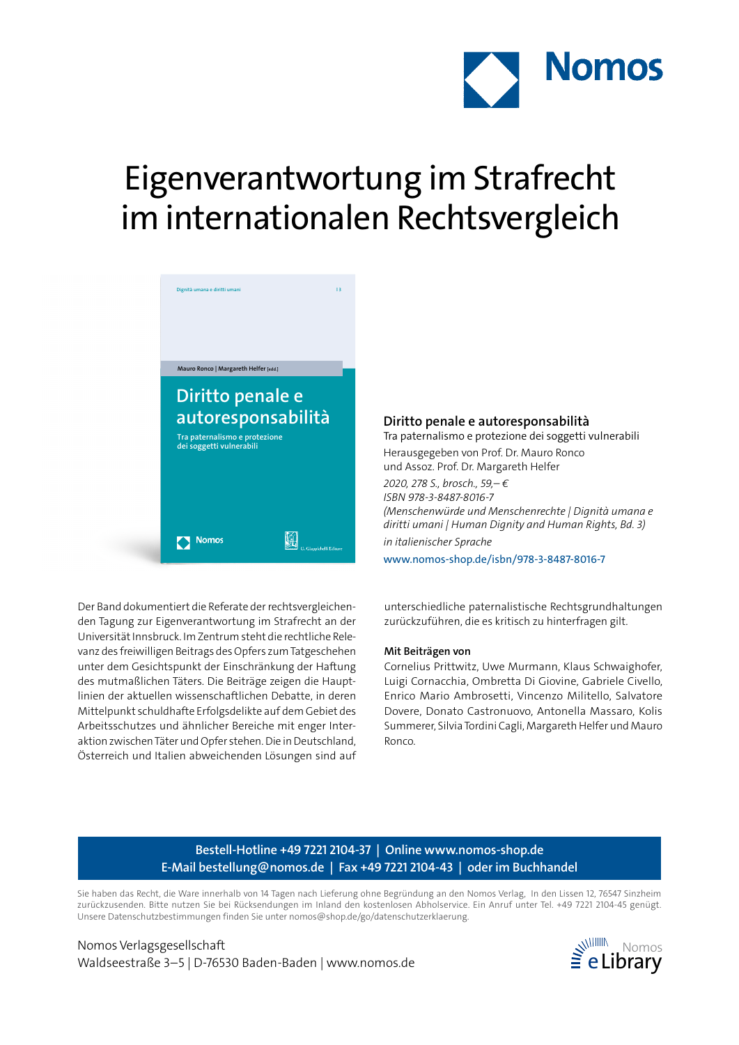

# Eigenverantwortung im Strafrecht im internationalen Rechtsvergleich



Der Band dokumentiert die Referate der rechtsvergleichenden Tagung zur Eigenverantwortung im Strafrecht an der Universität Innsbruck. Im Zentrum steht die rechtliche Relevanz des freiwilligen Beitrags des Opfers zum Tatgeschehen unter dem Gesichtspunkt der Einschränkung der Haftung des mutmaßlichen Täters. Die Beiträge zeigen die Hauptlinien der aktuellen wissenschaftlichen Debatte, in deren Mittelpunkt schuldhafte Erfolgsdelikte auf dem Gebiet des Arbeitsschutzes und ähnlicher Bereiche mit enger Interaktion zwischen Täter und Opfer stehen. Die in Deutschland, Österreich und Italien abweichenden Lösungen sind auf

### **Diritto penale e autoresponsabilità**

Tra paternalismo e protezione dei soggetti vulnerabili

Herausgegeben von Prof. Dr. Mauro Ronco und Assoz. Prof. Dr. Margareth Helfer

*2020, 278 S., brosch., 59,– € ISBN 978-3-8487-8016-7 (Menschenwürde und Menschenrechte | Dignità umana e diritti umani | Human Dignity and Human Rights, Bd. 3) in italienischer Sprache*

www.nomos-shop.de/isbn/978-3-8487-8016-7

unterschiedliche paternalistische Rechtsgrundhaltungen zurückzuführen, die es kritisch zu hinterfragen gilt.

#### **Mit Beiträgen von**

Cornelius Prittwitz, Uwe Murmann, Klaus Schwaighofer, Luigi Cornacchia, Ombretta Di Giovine, Gabriele Civello, Enrico Mario Ambrosetti, Vincenzo Militello, Salvatore Dovere, Donato Castronuovo, Antonella Massaro, Kolis Summerer, Silvia Tordini Cagli, Margareth Helfer und Mauro Ronco.

### **Bestell-Hotline +49 7221 2104-37 | Online www.nomos-shop.de E-Mail bestellung@nomos.de | Fax +49 7221 2104-43 | oder im Buchhandel**

Sie haben das Recht, die Ware innerhalb von 14 Tagen nach Lieferung ohne Begründung an den Nomos Verlag, In den Lissen 12, 76547 Sinzheim zurückzusenden. Bitte nutzen Sie bei Rücksendungen im Inland den kostenlosen Abholservice. Ein Anruf unter Tel. +49 7221 2104-45 genügt. Unsere Datenschutzbestimmungen finden Sie unter nomos@shop.de/go/datenschutzerklaerung.

Nomos Verlagsgesellschaft Waldseestraße 3-5 | D-76530 Baden-Baden | www.nomos.de